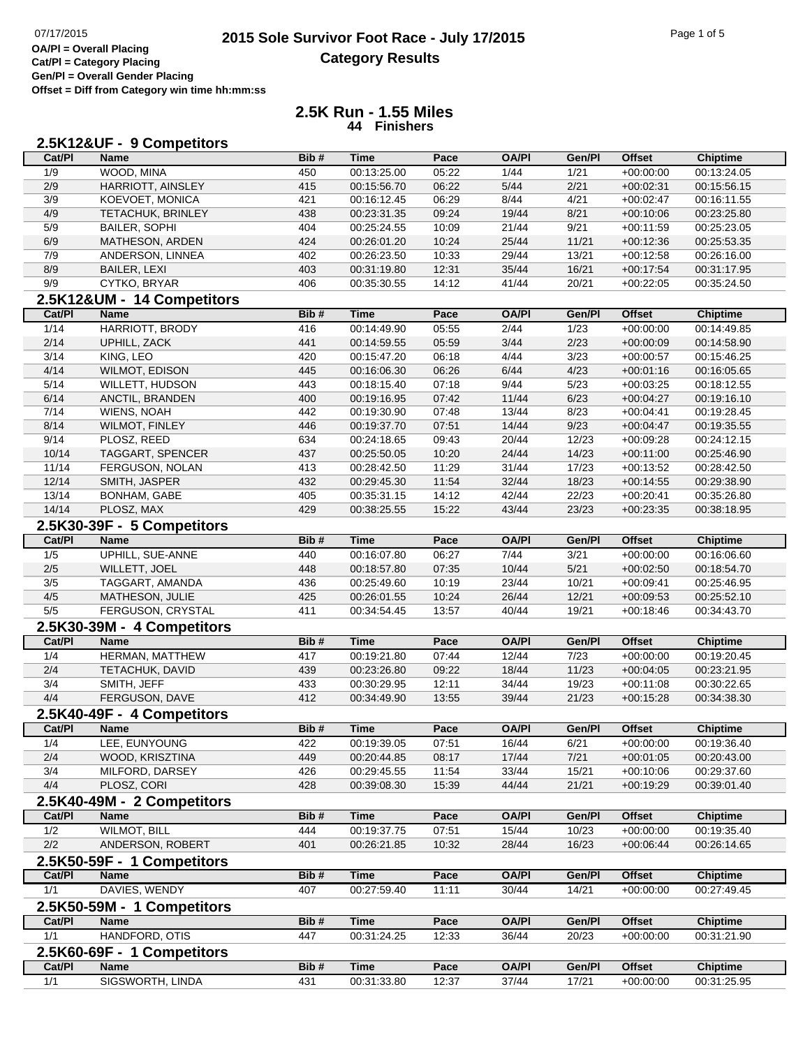## 07/17/2015 **Page 1 of 5**<br> **2015 Sole Survivor Foot Race - July 17/2015 Category Results**

**Cat/Pl = Category Placing Gen/Pl = Overall Gender Placing Offset = Diff from Category win time hh:mm:ss**

### **2.5K Run - 1.55 Miles 44 Finishers**

|               | 2.5K12&UF - 9 Competitors                 |            |                            |                |                |                |                            |                            |
|---------------|-------------------------------------------|------------|----------------------------|----------------|----------------|----------------|----------------------------|----------------------------|
| Cat/PI        | <b>Name</b>                               | Bib#       | <b>Time</b>                | Pace           | <b>OA/PI</b>   | Gen/Pl         | <b>Offset</b>              | <b>Chiptime</b>            |
| 1/9           | WOOD, MINA                                | 450        | 00:13:25.00                | 05:22          | 1/44           | 1/21           | $+00:00:00$                | 00:13:24.05                |
| 2/9           | HARRIOTT, AINSLEY                         | 415        | 00:15:56.70                | 06:22          | 5/44           | 2/21           | $+00:02:31$                | 00:15:56.15                |
| 3/9           | KOEVOET, MONICA                           | 421        | 00:16:12.45                | 06:29          | 8/44           | 4/21           | $+00:02:47$                | 00:16:11.55                |
| 4/9           | <b>TETACHUK, BRINLEY</b>                  | 438        | 00:23:31.35                | 09:24          | 19/44          | 8/21           | $+00:10:06$                | 00:23:25.80                |
| 5/9           | <b>BAILER, SOPHI</b>                      | 404        | 00:25:24.55                | 10:09          | 21/44          | 9/21           | $+00:11:59$                | 00:25:23.05                |
| 6/9           | MATHESON, ARDEN                           | 424        | 00:26:01.20                | 10:24          | 25/44          | 11/21          | $+00:12:36$                | 00:25:53.35                |
| 7/9           | ANDERSON, LINNEA                          | 402        | 00:26:23.50                | 10:33          | 29/44          | 13/21          | $+00:12:58$                | 00:26:16.00                |
| 8/9           | <b>BAILER, LEXI</b>                       | 403        | 00:31:19.80                | 12:31          | 35/44          | 16/21          | $+00:17:54$                | 00:31:17.95                |
| 9/9           | CYTKO, BRYAR                              | 406        | 00:35:30.55                | 14:12          | 41/44          | 20/21          | $+00:22:05$                | 00:35:24.50                |
|               | 2.5K12&UM - 14 Competitors                |            |                            |                |                |                |                            |                            |
| Cat/PI        | <b>Name</b>                               | Bib#       | <b>Time</b>                | Pace           | <b>OA/PI</b>   | Gen/Pl         | <b>Offset</b>              | <b>Chiptime</b>            |
| $1/14$        | HARRIOTT, BRODY                           | 416        | 00:14:49.90                | 05:55          | 2/44           | 1/23           | $+00:00:00$                | 00:14:49.85                |
| 2/14          | UPHILL, ZACK                              | 441        | 00:14:59.55                | 05:59          | 3/44           | 2/23           | $+00:00:09$                | 00:14:58.90                |
| 3/14          | KING, LEO                                 | 420        | 00:15:47.20                | 06:18          | 4/44           | 3/23           | $+00:00:57$                | 00:15:46.25                |
| 4/14          | <b>WILMOT, EDISON</b>                     | 445        | 00:16:06.30                | 06:26          | 6/44           | 4/23           | $+00:01:16$                | 00:16:05.65                |
| 5/14          | <b>WILLETT, HUDSON</b>                    | 443        | 00:18:15.40                | 07:18          | 9/44           | 5/23           | $+00:03:25$                | 00:18:12.55                |
| 6/14          | ANCTIL, BRANDEN                           | 400        | 00:19:16.95                | 07:42          | 11/44          | 6/23           | $+00:04:27$                | 00:19:16.10                |
| 7/14          | WIENS, NOAH                               | 442        | 00:19:30.90                | 07:48          | 13/44          | 8/23           | $+00:04:41$                | 00:19:28.45                |
| 8/14          | WILMOT, FINLEY                            | 446        | 00:19:37.70                | 07:51          | 14/44          | 9/23           | $+00:04:47$                | 00:19:35.55                |
| 9/14          | PLOSZ, REED                               | 634        | 00:24:18.65                | 09:43          | 20/44          | 12/23          | $+00:09:28$                | 00:24:12.15                |
| 10/14         | <b>TAGGART, SPENCER</b>                   | 437        | 00:25:50.05                | 10:20          | 24/44          | 14/23          | $+00:11:00$                | 00:25:46.90                |
| 11/14         | FERGUSON, NOLAN                           | 413        | 00:28:42.50                | 11:29          | 31/44          | 17/23          | $+00:13:52$                | 00:28:42.50                |
| 12/14         | SMITH, JASPER                             | 432        | 00:29:45.30                | 11:54          | 32/44          | 18/23          | $+00:14:55$                | 00:29:38.90                |
| 13/14         | <b>BONHAM, GABE</b>                       | 405        | 00:35:31.15                | 14:12          | 42/44          | 22/23          | $+00:20:41$                | 00:35:26.80                |
| 14/14         | PLOSZ, MAX                                | 429        | 00:38:25.55                | 15:22          | 43/44          | 23/23          | $+00:23:35$                | 00:38:18.95                |
| Cat/PI        | 2.5K30-39F - 5 Competitors<br><b>Name</b> | Bib#       |                            | Pace           | <b>OA/PI</b>   |                | <b>Offset</b>              |                            |
|               |                                           |            | Time                       |                |                | Gen/Pl         |                            | <b>Chiptime</b>            |
| 1/5           | UPHILL, SUE-ANNE                          | 440        | 00:16:07.80                | 06:27          | 7/44           | 3/21           | $+00:00:00$                | 00:16:06.60                |
| $2/5$<br>3/5  | WILLETT, JOEL                             | 448        | 00:18:57.80                | 07:35          | 10/44          | 5/21<br>10/21  | $+00:02:50$                | 00:18:54.70                |
| 4/5           | TAGGART, AMANDA<br>MATHESON, JULIE        | 436<br>425 | 00:25:49.60<br>00:26:01.55 | 10:19<br>10:24 | 23/44<br>26/44 | 12/21          | $+00:09:41$<br>$+00:09:53$ | 00:25:46.95<br>00:25:52.10 |
| 5/5           | FERGUSON, CRYSTAL                         | 411        | 00:34:54.45                | 13:57          | 40/44          | 19/21          | $+00:18:46$                | 00:34:43.70                |
|               |                                           |            |                            |                |                |                |                            |                            |
| Cat/PI        | 2.5K30-39M - 4 Competitors<br>Name        | Bib#       | <b>Time</b>                | Pace           | <b>OA/PI</b>   | Gen/Pl         | <b>Offset</b>              | <b>Chiptime</b>            |
| 1/4           | HERMAN, MATTHEW                           | 417        | 00:19:21.80                | 07:44          | 12/44          | $\frac{7}{23}$ | $+00:00:00$                | 00:19:20.45                |
| 2/4           | TETACHUK, DAVID                           | 439        | 00:23:26.80                | 09:22          | 18/44          | 11/23          | $+00:04:05$                | 00:23:21.95                |
| 3/4           | SMITH, JEFF                               | 433        | 00:30:29.95                | 12:11          | 34/44          | 19/23          | $+00:11:08$                | 00:30:22.65                |
| 4/4           | FERGUSON, DAVE                            | 412        | 00:34:49.90                | 13:55          | 39/44          | 21/23          | $+00:15:28$                | 00:34:38.30                |
|               | 2.5K40-49F - 4 Competitors                |            |                            |                |                |                |                            |                            |
| <b>Cat/PI</b> | <b>Name</b>                               | Bib#       | Time                       | Pace           | <b>OA/PI</b>   | Gen/Pl         | <b>Offset</b>              | <b>Chiptime</b>            |
| 1/4           | LEE, EUNYOUNG                             | 422        | 00:19:39.05                | 07:51          | 16/44          | 6/21           | $+00:00:00$                | 00:19:36.40                |
| 2/4           | WOOD, KRISZTINA                           | 449        | 00:20:44.85                | 08:17          | 17/44          | 7/21           | $+00:01:05$                | 00:20:43.00                |
| 3/4           | MILFORD, DARSEY                           | 426        | 00:29:45.55                | 11:54          | 33/44          | 15/21          | $+00:10:06$                | 00:29:37.60                |
| 4/4           | PLOSZ, CORI                               | 428        | 00:39:08.30                | 15:39          | 44/44          | 21/21          | $+00:19:29$                | 00:39:01.40                |
|               | 2.5K40-49M - 2 Competitors                |            |                            |                |                |                |                            |                            |
| Cat/PI        | <b>Name</b>                               | Bib#       | <b>Time</b>                | Pace           | <b>OA/PI</b>   | Gen/Pl         | <b>Offset</b>              | <b>Chiptime</b>            |
| 1/2           | <b>WILMOT, BILL</b>                       | 444        | 00:19:37.75                | 07:51          | 15/44          | 10/23          | $+00:00:00$                | 00:19:35.40                |
| 2/2           | ANDERSON, ROBERT                          | 401        | 00:26:21.85                | 10:32          | 28/44          | 16/23          | $+00:06:44$                | 00:26:14.65                |
|               | 2.5K50-59F - 1 Competitors                |            |                            |                |                |                |                            |                            |
| Cat/PI        | <b>Name</b>                               | Bib#       | <b>Time</b>                | Pace           | <b>OA/PI</b>   | Gen/Pl         | <b>Offset</b>              | <b>Chiptime</b>            |
| 1/1           | DAVIES, WENDY                             | 407        | 00:27:59.40                | 11:11          | 30/44          | 14/21          | $+00:00:00$                | 00:27:49.45                |
| O FIZEO FORE  |                                           |            |                            |                |                |                |                            |                            |

#### **2.5K50-59M - 1 Competitors Cat/Pl Name Bib # Time Pace OA/Pl Gen/Pl Offset Chiptime** 1/1 HANDFORD, OTIS 447 00:31:24.25 12:33 36/44 20/23 +00:00:00 00:31:21.90 **2.5K60-69F - 1 Competitors Cat/Pl Name Bib # Time Pace OA/Pl Gen/Pl Offset Chiptime** 1/1 SIGSWORTH, LINDA 431 00:31:33.80 12:37 37/44 17/21 +00:00:00 00:31:25.95